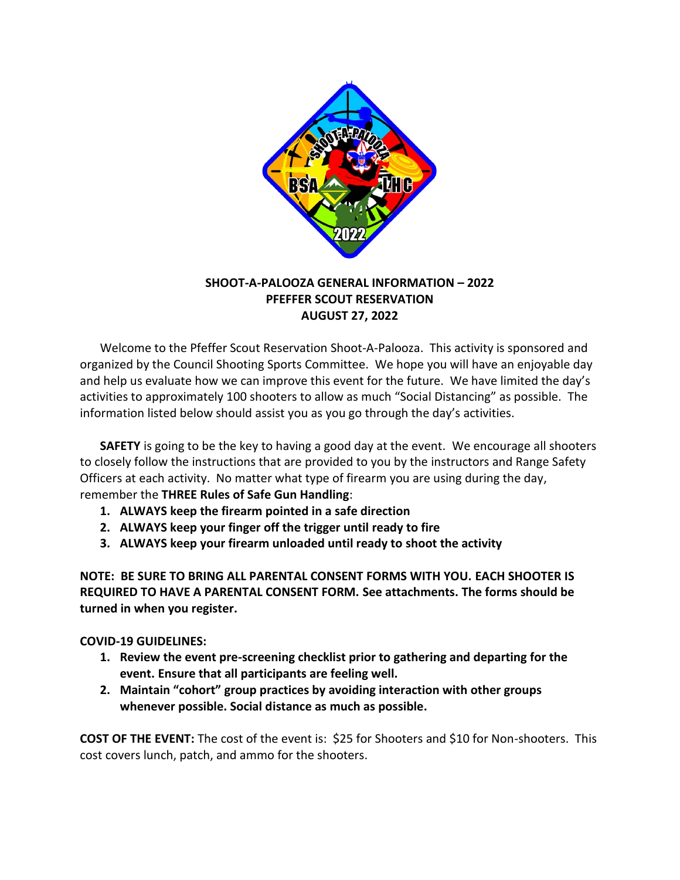

# **SHOOT-A-PALOOZA GENERAL INFORMATION – 2022 PFEFFER SCOUT RESERVATION AUGUST 27, 2022**

Welcome to the Pfeffer Scout Reservation Shoot-A-Palooza. This activity is sponsored and organized by the Council Shooting Sports Committee. We hope you will have an enjoyable day and help us evaluate how we can improve this event for the future. We have limited the day's activities to approximately 100 shooters to allow as much "Social Distancing" as possible. The information listed below should assist you as you go through the day's activities.

**SAFETY** is going to be the key to having a good day at the event. We encourage all shooters to closely follow the instructions that are provided to you by the instructors and Range Safety Officers at each activity. No matter what type of firearm you are using during the day, remember the **THREE Rules of Safe Gun Handling**:

- **1. ALWAYS keep the firearm pointed in a safe direction**
- **2. ALWAYS keep your finger off the trigger until ready to fire**
- **3. ALWAYS keep your firearm unloaded until ready to shoot the activity**

**NOTE: BE SURE TO BRING ALL PARENTAL CONSENT FORMS WITH YOU. EACH SHOOTER IS REQUIRED TO HAVE A PARENTAL CONSENT FORM. See attachments. The forms should be turned in when you register.**

## **COVID-19 GUIDELINES:**

- **1. Review the event pre-screening checklist prior to gathering and departing for the event. Ensure that all participants are feeling well.**
- **2. Maintain "cohort" group practices by avoiding interaction with other groups whenever possible. Social distance as much as possible.**

**COST OF THE EVENT:** The cost of the event is: \$25 for Shooters and \$10 for Non-shooters. This cost covers lunch, patch, and ammo for the shooters.